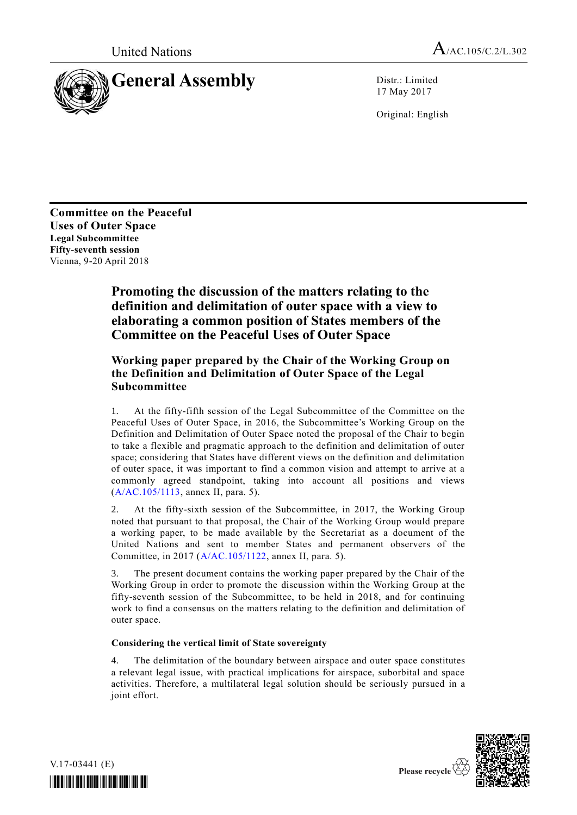United Nations  $A_{/AC.105/C.2/L.302}$ 



17 May 2017

Original: English

**Committee on the Peaceful Uses of Outer Space Legal Subcommittee Fifty-seventh session** Vienna, 9-20 April 2018

# **Promoting the discussion of the matters relating to the definition and delimitation of outer space with a view to elaborating a common position of States members of the Committee on the Peaceful Uses of Outer Space**

## **Working paper prepared by the Chair of the Working Group on the Definition and Delimitation of Outer Space of the Legal Subcommittee**

1. At the fifty-fifth session of the Legal Subcommittee of the Committee on the Peaceful Uses of Outer Space, in 2016, the Subcommittee's Working Group on the Definition and Delimitation of Outer Space noted the proposal of the Chair to begin to take a flexible and pragmatic approach to the definition and delimitation of outer space; considering that States have different views on the definition and delimitation of outer space, it was important to find a common vision and attempt to arrive at a commonly agreed standpoint, taking into account all positions and views [\(A/AC.105/1113,](http://undocs.org/A/AC.105/1113) annex II, para. 5).

2. At the fifty-sixth session of the Subcommittee, in 2017, the Working Group noted that pursuant to that proposal, the Chair of the Working Group would prepare a working paper, to be made available by the Secretariat as a document of the United Nations and sent to member States and permanent observers of the Committee, in 2017 [\(A/AC.105/1122,](http://undocs.org/A/AC.105/1122) annex II, para. 5).

3. The present document contains the working paper prepared by the Chair of the Working Group in order to promote the discussion within the Working Group at the fifty-seventh session of the Subcommittee, to be held in 2018, and for continuing work to find a consensus on the matters relating to the definition and delimitation of outer space.

### **Considering the vertical limit of State sovereignty**

4. The delimitation of the boundary between airspace and outer space constitutes a relevant legal issue, with practical implications for airspace, suborbital and space activities. Therefore, a multilateral legal solution should be seriously pursued in a joint effort.



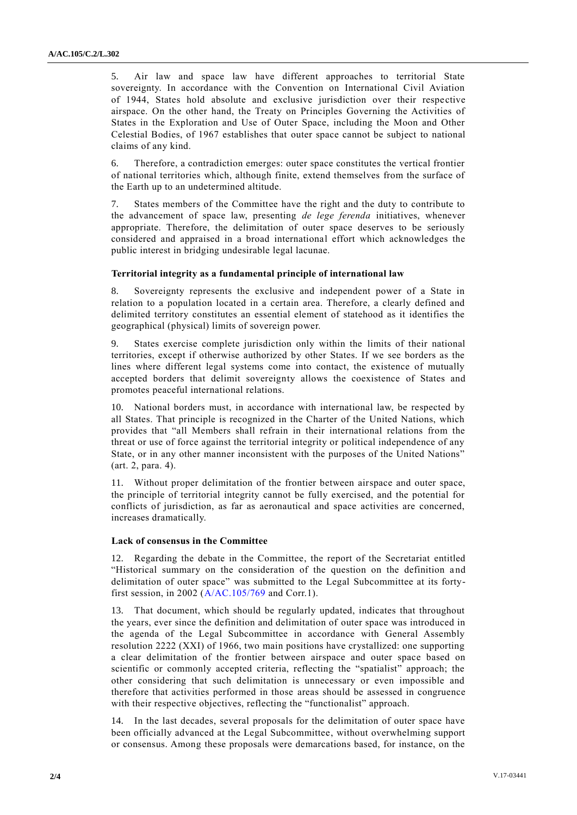5. Air law and space law have different approaches to territorial State sovereignty. In accordance with the Convention on International Civil Aviation of 1944, States hold absolute and exclusive jurisdiction over their respective airspace. On the other hand, the Treaty on Principles Governing the Activities of States in the Exploration and Use of Outer Space, including the Moon and Other Celestial Bodies, of 1967 establishes that outer space cannot be subject to national claims of any kind.

6. Therefore, a contradiction emerges: outer space constitutes the vertical frontier of national territories which, although finite, extend themselves from the surface of the Earth up to an undetermined altitude.

7. States members of the Committee have the right and the duty to contribute to the advancement of space law, presenting *de lege ferenda* initiatives, whenever appropriate. Therefore, the delimitation of outer space deserves to be seriously considered and appraised in a broad international effort which acknowledges the public interest in bridging undesirable legal lacunae.

#### **Territorial integrity as a fundamental principle of international law**

8. Sovereignty represents the exclusive and independent power of a State in relation to a population located in a certain area. Therefore, a clearly defined and delimited territory constitutes an essential element of statehood as it identifies the geographical (physical) limits of sovereign power.

9. States exercise complete jurisdiction only within the limits of their national territories, except if otherwise authorized by other States. If we see borders as the lines where different legal systems come into contact, the existence of mutually accepted borders that delimit sovereignty allows the coexistence of States and promotes peaceful international relations.

10. National borders must, in accordance with international law, be respected by all States. That principle is recognized in the Charter of the United Nations, which provides that "all Members shall refrain in their international relations from the threat or use of force against the territorial integrity or political independence of any State, or in any other manner inconsistent with the purposes of the United Nations" (art. 2, para. 4).

11. Without proper delimitation of the frontier between airspace and outer space, the principle of territorial integrity cannot be fully exercised, and the potential for conflicts of jurisdiction, as far as aeronautical and space activities are concerned, increases dramatically.

#### **Lack of consensus in the Committee**

12. Regarding the debate in the Committee, the report of the Secretariat entitled "Historical summary on the consideration of the question on the definition a nd delimitation of outer space" was submitted to the Legal Subcommittee at its fortyfirst session, in 2002 [\(A/AC.105/769](http://undocs.org/A/AC.105/769) and Corr.1).

13. That document, which should be regularly updated, indicates that throughout the years, ever since the definition and delimitation of outer space was introduced in the agenda of the Legal Subcommittee in accordance with General Assembly resolution 2222 (XXI) of 1966, two main positions have crystallized: one supporting a clear delimitation of the frontier between airspace and outer space based on scientific or commonly accepted criteria, reflecting the "spatialist" approach; the other considering that such delimitation is unnecessary or even impossible and therefore that activities performed in those areas should be assessed in congruence with their respective objectives, reflecting the "functionalist" approach.

14. In the last decades, several proposals for the delimitation of outer space have been officially advanced at the Legal Subcommittee, without overwhelming support or consensus. Among these proposals were demarcations based, for instance, on the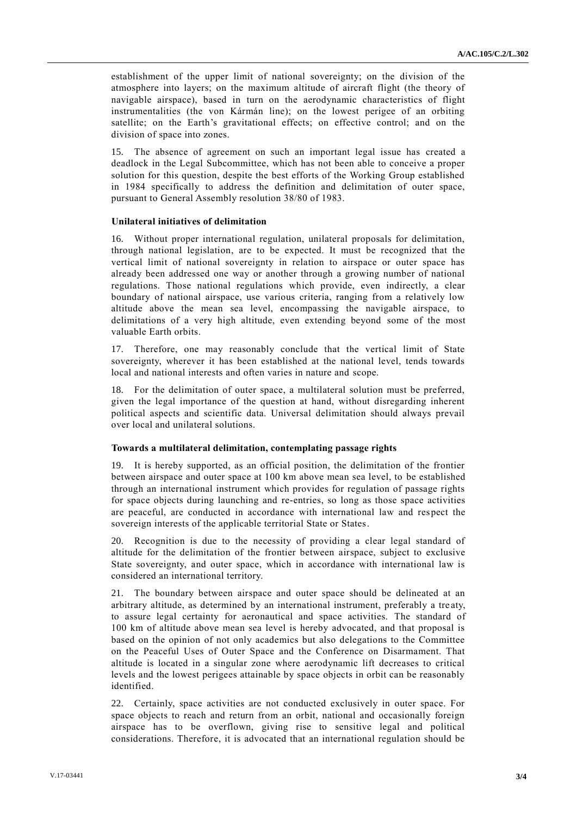establishment of the upper limit of national sovereignty; on the division of the atmosphere into layers; on the maximum altitude of aircraft flight (the theory of navigable airspace), based in turn on the aerodynamic characteristics of flight instrumentalities (the von Kármán line); on the lowest perigee of an orbiting satellite; on the Earth's gravitational effects; on effective control; and on the division of space into zones.

15. The absence of agreement on such an important legal issue has created a deadlock in the Legal Subcommittee, which has not been able to conceive a proper solution for this question, despite the best efforts of the Working Group established in 1984 specifically to address the definition and delimitation of outer space, pursuant to General Assembly resolution 38/80 of 1983.

#### **Unilateral initiatives of delimitation**

16. Without proper international regulation, unilateral proposals for delimitation, through national legislation, are to be expected. It must be recognized that the vertical limit of national sovereignty in relation to airspace or outer space has already been addressed one way or another through a growing number of national regulations. Those national regulations which provide, even indirectly, a clear boundary of national airspace, use various criteria, ranging from a relatively low altitude above the mean sea level, encompassing the navigable airspace, to delimitations of a very high altitude, even extending beyond some of the most valuable Earth orbits.

17. Therefore, one may reasonably conclude that the vertical limit of State sovereignty, wherever it has been established at the national level, tends towards local and national interests and often varies in nature and scope.

18. For the delimitation of outer space, a multilateral solution must be preferred, given the legal importance of the question at hand, without disregarding inherent political aspects and scientific data. Universal delimitation should always prevail over local and unilateral solutions.

#### **Towards a multilateral delimitation, contemplating passage rights**

19. It is hereby supported, as an official position, the delimitation of the frontier between airspace and outer space at 100 km above mean sea level, to be established through an international instrument which provides for regulation of passage rights for space objects during launching and re-entries, so long as those space activities are peaceful, are conducted in accordance with international law and respect the sovereign interests of the applicable territorial State or States.

20. Recognition is due to the necessity of providing a clear legal standard of altitude for the delimitation of the frontier between airspace, subject to exclusive State sovereignty, and outer space, which in accordance with international law is considered an international territory.

21. The boundary between airspace and outer space should be delineated at an arbitrary altitude, as determined by an international instrument, preferably a tre aty, to assure legal certainty for aeronautical and space activities. The standard of 100 km of altitude above mean sea level is hereby advocated, and that proposal is based on the opinion of not only academics but also delegations to the Committee on the Peaceful Uses of Outer Space and the Conference on Disarmament. That altitude is located in a singular zone where aerodynamic lift decreases to critical levels and the lowest perigees attainable by space objects in orbit can be reasonably identified.

22. Certainly, space activities are not conducted exclusively in outer space. For space objects to reach and return from an orbit, national and occasionally foreign airspace has to be overflown, giving rise to sensitive legal and political considerations. Therefore, it is advocated that an international regulation should be